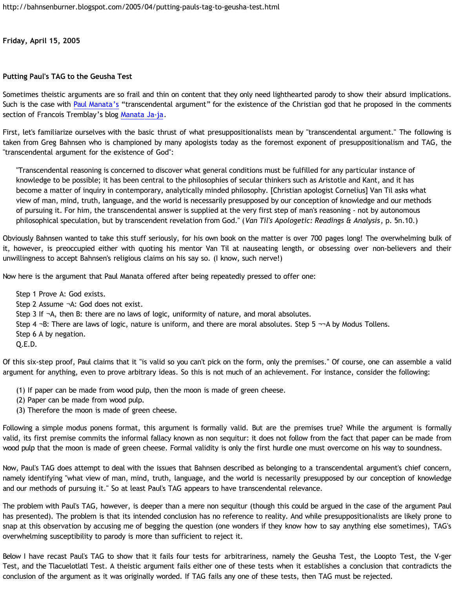**Friday, April 15, 2005**

## **Putting Paul's TAG to the Geusha Test**

Sometimes theistic arguments are so frail and thin on content that they only need lighthearted parody to show their absurd implications. Such is the case with [Paul Manata's](http://presstheantithesis.blogspot.com/) "transcendental argument" for the existence of the Christian god that he proposed in the comments section of Francois Tremblay's blog [Manata Ja-ja](http://goosetheantithesis.blogspot.com/2005/04/manata-ja-ja.html).

First, let's familiarize ourselves with the basic thrust of what presuppositionalists mean by "transcendental argument." The following is taken from Greg Bahnsen who is championed by many apologists today as the foremost exponent of presuppositionalism and TAG, the "transcendental argument for the existence of God":

"Transcendental reasoning is concerned to discover what general conditions must be fulfilled for any particular instance of knowledge to be possible; it has been central to the philosophies of secular thinkers such as Aristotle and Kant, and it has become a matter of inquiry in contemporary, analytically minded philosophy. [Christian apologist Cornelius] Van Til asks what view of man, mind, truth, language, and the world is necessarily presupposed by our conception of knowledge and our methods of pursuing it. For him, the transcendental answer is supplied at the very first step of man's reasoning - not by autonomous philosophical speculation, but by transcendent revelation from God." (*Van Til's Apologetic: Readings & Analysis*, p. 5n.10.)

Obviously Bahnsen wanted to take this stuff seriously, for his own book on the matter is over 700 pages long! The overwhelming bulk of it, however, is preoccupied either with quoting his mentor Van Til at nauseating length, or obsessing over non-believers and their unwillingness to accept Bahnsen's religious claims on his say so. (I know, such nerve!)

Now here is the argument that Paul Manata offered after being repeatedly pressed to offer one:

Step 1 Prove A: God exists. Step 2 Assume ¬A: God does not exist. Step 3 If ¬A, then B: there are no laws of logic, uniformity of nature, and moral absolutes. Step 4 ¬B: There are laws of logic, nature is uniform, and there are moral absolutes. Step 5 ¬¬A by Modus Tollens. Step 6 A by negation. Q.E.D.

Of this six-step proof, Paul claims that it "is valid so you can't pick on the form, only the premises." Of course, one can assemble a valid argument for anything, even to prove arbitrary ideas. So this is not much of an achievement. For instance, consider the following:

- (1) If paper can be made from wood pulp, then the moon is made of green cheese.
- (2) Paper can be made from wood pulp.
- (3) Therefore the moon is made of green cheese.

Following a simple modus ponens format, this argument is formally valid. But are the premises true? While the argument is formally valid, its first premise commits the informal fallacy known as non sequitur: it does not follow from the fact that paper can be made from wood pulp that the moon is made of green cheese. Formal validity is only the first hurdle one must overcome on his way to soundness.

Now, Paul's TAG does attempt to deal with the issues that Bahnsen described as belonging to a transcendental argument's chief concern, namely identifying "what view of man, mind, truth, language, and the world is necessarily presupposed by our conception of knowledge and our methods of pursuing it." So at least Paul's TAG appears to have transcendental relevance.

The problem with Paul's TAG, however, is deeper than a mere non sequitur (though this could be argued in the case of the argument Paul has presented). The problem is that its intended conclusion has no reference to reality. And while presuppositionalists are likely prone to snap at this observation by accusing me of begging the question (one wonders if they know how to say anything else sometimes), TAG's overwhelming susceptibility to parody is more than sufficient to reject it.

Below I have recast Paul's TAG to show that it fails four tests for arbitrariness, namely the Geusha Test, the Loopto Test, the V-ger Test, and the Tlacuelotlatl Test. A theistic argument fails either one of these tests when it establishes a conclusion that contradicts the conclusion of the argument as it was originally worded. If TAG fails any one of these tests, then TAG must be rejected.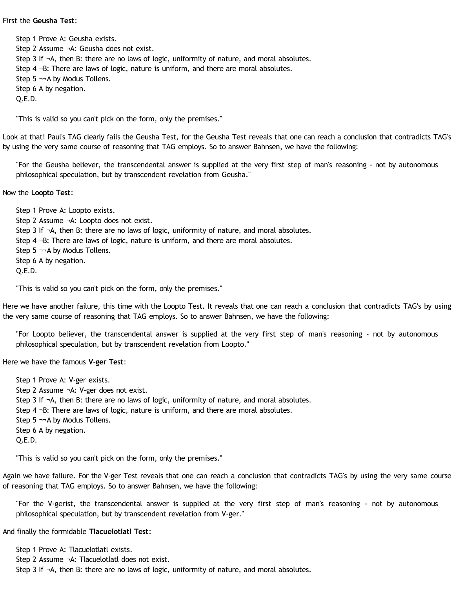## First the **Geusha Test**:

Step 1 Prove A: Geusha exists. Step 2 Assume ¬A: Geusha does not exist. Step 3 If ¬A, then B: there are no laws of logic, uniformity of nature, and moral absolutes. Step 4 ¬B: There are laws of logic, nature is uniform, and there are moral absolutes. Step 5 ¬¬A by Modus Tollens. Step 6 A by negation. Q.E.D.

"This is valid so you can't pick on the form, only the premises."

Look at that! Paul's TAG clearly fails the Geusha Test, for the Geusha Test reveals that one can reach a conclusion that contradicts TAG's by using the very same course of reasoning that TAG employs. So to answer Bahnsen, we have the following:

"For the Geusha believer, the transcendental answer is supplied at the very first step of man's reasoning - not by autonomous philosophical speculation, but by transcendent revelation from Geusha."

Now the **Loopto Test**:

Step 1 Prove A: Loopto exists. Step 2 Assume ¬A: Loopto does not exist. Step 3 If ¬A, then B: there are no laws of logic, uniformity of nature, and moral absolutes. Step 4 ¬B: There are laws of logic, nature is uniform, and there are moral absolutes. Step 5  $\neg\neg$ A by Modus Tollens. Step 6 A by negation. Q.E.D.

"This is valid so you can't pick on the form, only the premises."

Here we have another failure, this time with the Loopto Test. It reveals that one can reach a conclusion that contradicts TAG's by using the very same course of reasoning that TAG employs. So to answer Bahnsen, we have the following:

"For Loopto believer, the transcendental answer is supplied at the very first step of man's reasoning - not by autonomous philosophical speculation, but by transcendent revelation from Loopto."

Here we have the famous **V-ger Test**:

Step 1 Prove A: V-ger exists. Step 2 Assume ¬A: V-ger does not exist. Step 3 If ¬A, then B: there are no laws of logic, uniformity of nature, and moral absolutes. Step 4 ¬B: There are laws of logic, nature is uniform, and there are moral absolutes. Step 5 ¬¬A by Modus Tollens. Step 6 A by negation. Q.E.D.

"This is valid so you can't pick on the form, only the premises."

Again we have failure. For the V-ger Test reveals that one can reach a conclusion that contradicts TAG's by using the very same course of reasoning that TAG employs. So to answer Bahnsen, we have the following:

"For the V-gerist, the transcendental answer is supplied at the very first step of man's reasoning - not by autonomous philosophical speculation, but by transcendent revelation from V-ger."

And finally the formidable **Tlacuelotlatl Test**:

Step 1 Prove A: Tlacuelotlatl exists. Step 2 Assume ¬A: Tlacuelotlatl does not exist. Step 3 If  $\neg$ A, then B: there are no laws of logic, uniformity of nature, and moral absolutes.